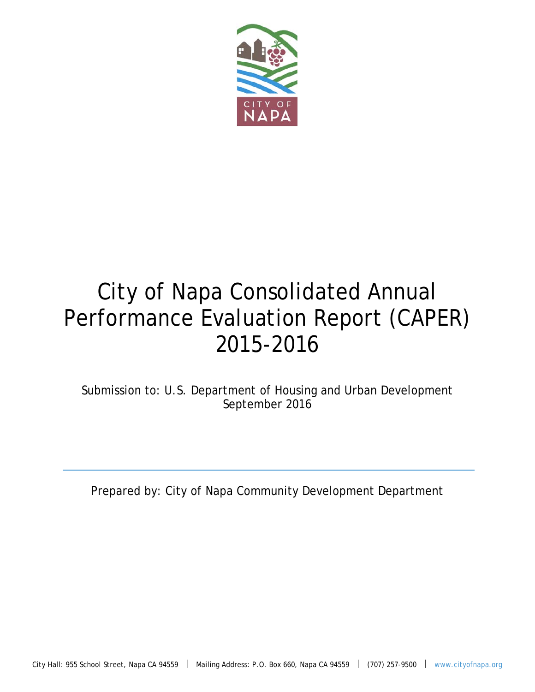

# City of Napa Consolidated Annual Performance Evaluation Report (CAPER) 2015-2016

Submission to: U.S. Department of Housing and Urban Development September 2016

Prepared by: City of Napa Community Development Department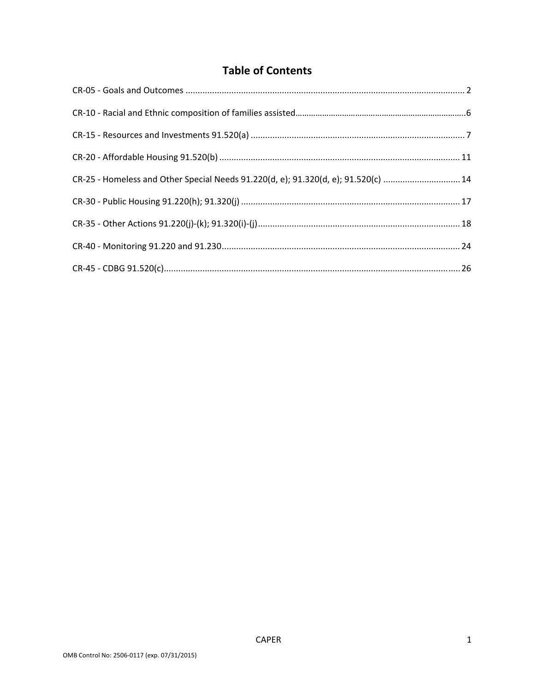# **Table of Contents**

| CR-25 - Homeless and Other Special Needs 91.220(d, e); 91.320(d, e); 91.520(c) 14 |  |
|-----------------------------------------------------------------------------------|--|
|                                                                                   |  |
|                                                                                   |  |
|                                                                                   |  |
|                                                                                   |  |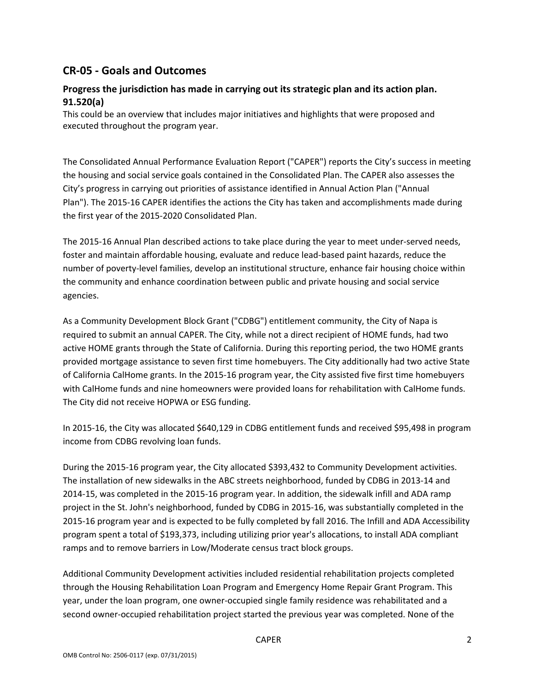## **CR‐05 ‐ Goals and Outcomes**

#### **Progress the jurisdiction has made in carrying out its strategic plan and its action plan. 91.520(a)**

This could be an overview that includes major initiatives and highlights that were proposed and executed throughout the program year.

The Consolidated Annual Performance Evaluation Report ("CAPER") reports the City's success in meeting the housing and social service goals contained in the Consolidated Plan. The CAPER also assesses the City's progress in carrying out priorities of assistance identified in Annual Action Plan ("Annual Plan"). The 2015‐16 CAPER identifies the actions the City has taken and accomplishments made during the first year of the 2015‐2020 Consolidated Plan.

The 2015‐16 Annual Plan described actions to take place during the year to meet under‐served needs, foster and maintain affordable housing, evaluate and reduce lead‐based paint hazards, reduce the number of poverty‐level families, develop an institutional structure, enhance fair housing choice within the community and enhance coordination between public and private housing and social service agencies.

As a Community Development Block Grant ("CDBG") entitlement community, the City of Napa is required to submit an annual CAPER. The City, while not a direct recipient of HOME funds, had two active HOME grants through the State of California. During this reporting period, the two HOME grants provided mortgage assistance to seven first time homebuyers. The City additionally had two active State of California CalHome grants. In the 2015‐16 program year, the City assisted five first time homebuyers with CalHome funds and nine homeowners were provided loans for rehabilitation with CalHome funds. The City did not receive HOPWA or ESG funding.

In 2015-16, the City was allocated \$640,129 in CDBG entitlement funds and received \$95,498 in program income from CDBG revolving loan funds.

During the 2015-16 program year, the City allocated \$393,432 to Community Development activities. The installation of new sidewalks in the ABC streets neighborhood, funded by CDBG in 2013‐14 and 2014‐15, was completed in the 2015‐16 program year. In addition, the sidewalk infill and ADA ramp project in the St. John's neighborhood, funded by CDBG in 2015‐16, was substantially completed in the 2015‐16 program year and is expected to be fully completed by fall 2016. The Infill and ADA Accessibility program spent a total of \$193,373, including utilizing prior year's allocations, to install ADA compliant ramps and to remove barriers in Low/Moderate census tract block groups.

Additional Community Development activities included residential rehabilitation projects completed through the Housing Rehabilitation Loan Program and Emergency Home Repair Grant Program. This year, under the loan program, one owner‐occupied single family residence was rehabilitated and a second owner‐occupied rehabilitation project started the previous year was completed. None of the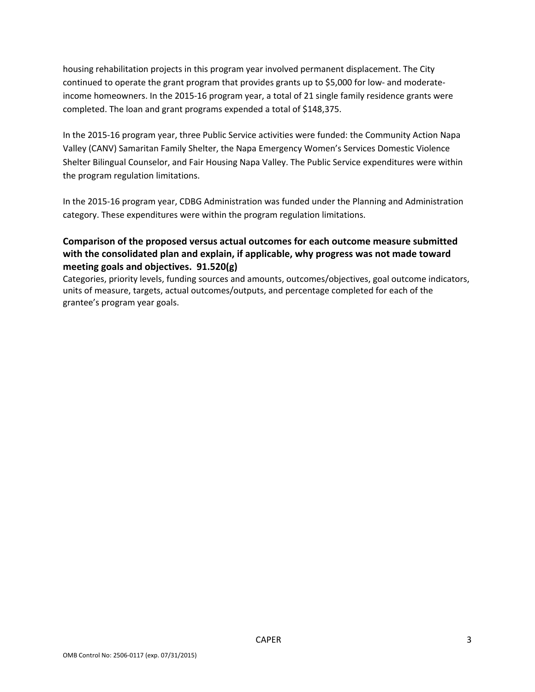housing rehabilitation projects in this program year involved permanent displacement. The City continued to operate the grant program that provides grants up to \$5,000 for low- and moderateincome homeowners. In the 2015‐16 program year, a total of 21 single family residence grants were completed. The loan and grant programs expended a total of \$148,375.

In the 2015‐16 program year, three Public Service activities were funded: the Community Action Napa Valley (CANV) Samaritan Family Shelter, the Napa Emergency Women's Services Domestic Violence Shelter Bilingual Counselor, and Fair Housing Napa Valley. The Public Service expenditures were within the program regulation limitations.

In the 2015‐16 program year, CDBG Administration was funded under the Planning and Administration category. These expenditures were within the program regulation limitations.

## **Comparison of the proposed versus actual outcomes for each outcome measure submitted with the consolidated plan and explain, if applicable, why progress was not made toward meeting goals and objectives. 91.520(g)**

Categories, priority levels, funding sources and amounts, outcomes/objectives, goal outcome indicators, units of measure, targets, actual outcomes/outputs, and percentage completed for each of the grantee's program year goals.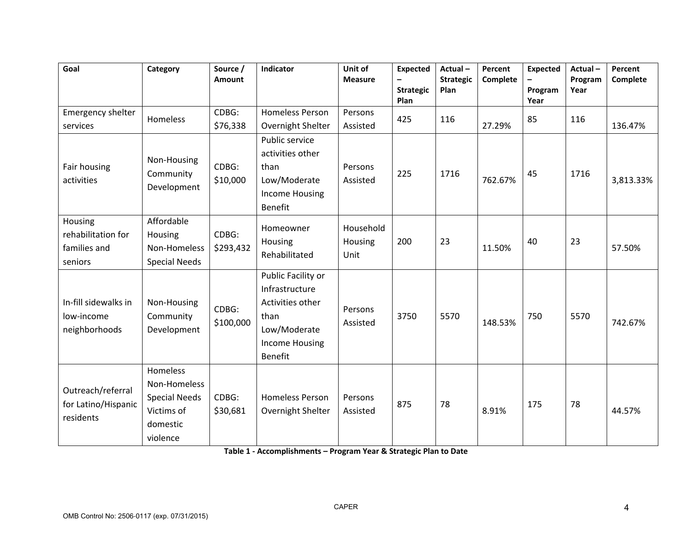| Goal                                                     | Category                                                                               | Source /<br>Amount | Indicator                                                                                                                   | Unit of<br><b>Measure</b>    | <b>Expected</b><br><b>Strategic</b><br>Plan | Actual-<br><b>Strategic</b><br>Plan | Percent<br>Complete | <b>Expected</b><br>Program<br>Year | Actual-<br>Program<br>Year | Percent<br>Complete |
|----------------------------------------------------------|----------------------------------------------------------------------------------------|--------------------|-----------------------------------------------------------------------------------------------------------------------------|------------------------------|---------------------------------------------|-------------------------------------|---------------------|------------------------------------|----------------------------|---------------------|
| Emergency shelter<br>services                            | Homeless                                                                               | CDBG:<br>\$76,338  | <b>Homeless Person</b><br>Overnight Shelter                                                                                 | Persons<br>Assisted          | 425                                         | 116                                 | 27.29%              | 85                                 | 116                        | 136.47%             |
| Fair housing<br>activities                               | Non-Housing<br>Community<br>Development                                                | CDBG:<br>\$10,000  | Public service<br>activities other<br>than<br>Low/Moderate<br><b>Income Housing</b><br><b>Benefit</b>                       | Persons<br>Assisted          | 225                                         | 1716                                | 762.67%             | 45                                 | 1716                       | 3,813.33%           |
| Housing<br>rehabilitation for<br>families and<br>seniors | Affordable<br>Housing<br>Non-Homeless<br><b>Special Needs</b>                          | CDBG:<br>\$293,432 | Homeowner<br>Housing<br>Rehabilitated                                                                                       | Household<br>Housing<br>Unit | 200                                         | 23                                  | 11.50%              | 40                                 | 23                         | 57.50%              |
| In-fill sidewalks in<br>low-income<br>neighborhoods      | Non-Housing<br>Community<br>Development                                                | CDBG:<br>\$100,000 | Public Facility or<br>Infrastructure<br>Activities other<br>than<br>Low/Moderate<br><b>Income Housing</b><br><b>Benefit</b> | Persons<br>Assisted          | 3750                                        | 5570                                | 148.53%             | 750                                | 5570                       | 742.67%             |
| Outreach/referral<br>for Latino/Hispanic<br>residents    | Homeless<br>Non-Homeless<br><b>Special Needs</b><br>Victims of<br>domestic<br>violence | CDBG:<br>\$30,681  | <b>Homeless Person</b><br>Overnight Shelter                                                                                 | Persons<br>Assisted          | 875                                         | 78                                  | 8.91%               | 175                                | 78                         | 44.57%              |

**Table 1 ‐ Accomplishments – Program Year & Strategic Plan to Date**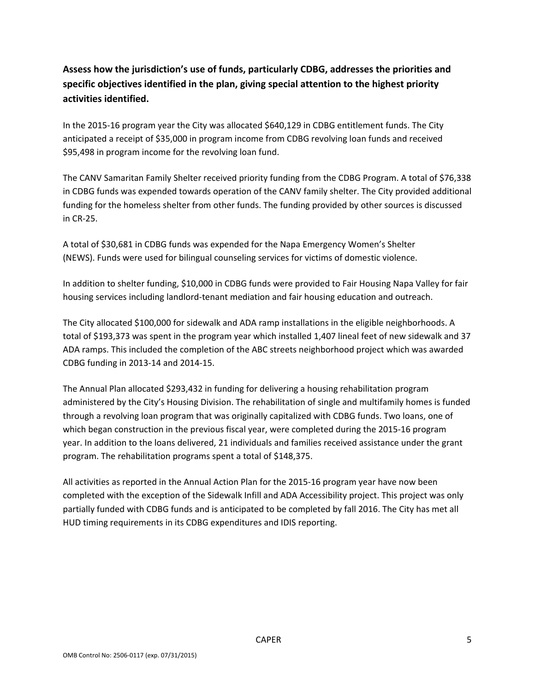# **Assess how the jurisdiction's use of funds, particularly CDBG, addresses the priorities and specific objectives identified in the plan, giving special attention to the highest priority activities identified.**

In the 2015‐16 program year the City was allocated \$640,129 in CDBG entitlement funds. The City anticipated a receipt of \$35,000 in program income from CDBG revolving loan funds and received \$95,498 in program income for the revolving loan fund.

The CANV Samaritan Family Shelter received priority funding from the CDBG Program. A total of \$76,338 in CDBG funds was expended towards operation of the CANV family shelter. The City provided additional funding for the homeless shelter from other funds. The funding provided by other sources is discussed in CR‐25.

A total of \$30,681 in CDBG funds was expended for the Napa Emergency Women's Shelter (NEWS). Funds were used for bilingual counseling services for victims of domestic violence.

In addition to shelter funding, \$10,000 in CDBG funds were provided to Fair Housing Napa Valley for fair housing services including landlord‐tenant mediation and fair housing education and outreach.

The City allocated \$100,000 for sidewalk and ADA ramp installations in the eligible neighborhoods. A total of \$193,373 was spent in the program year which installed 1,407 lineal feet of new sidewalk and 37 ADA ramps. This included the completion of the ABC streets neighborhood project which was awarded CDBG funding in 2013‐14 and 2014‐15.

The Annual Plan allocated \$293,432 in funding for delivering a housing rehabilitation program administered by the City's Housing Division. The rehabilitation of single and multifamily homes is funded through a revolving loan program that was originally capitalized with CDBG funds. Two loans, one of which began construction in the previous fiscal year, were completed during the 2015-16 program year. In addition to the loans delivered, 21 individuals and families received assistance under the grant program. The rehabilitation programs spent a total of \$148,375.

All activities as reported in the Annual Action Plan for the 2015‐16 program year have now been completed with the exception of the Sidewalk Infill and ADA Accessibility project. This project was only partially funded with CDBG funds and is anticipated to be completed by fall 2016. The City has met all HUD timing requirements in its CDBG expenditures and IDIS reporting.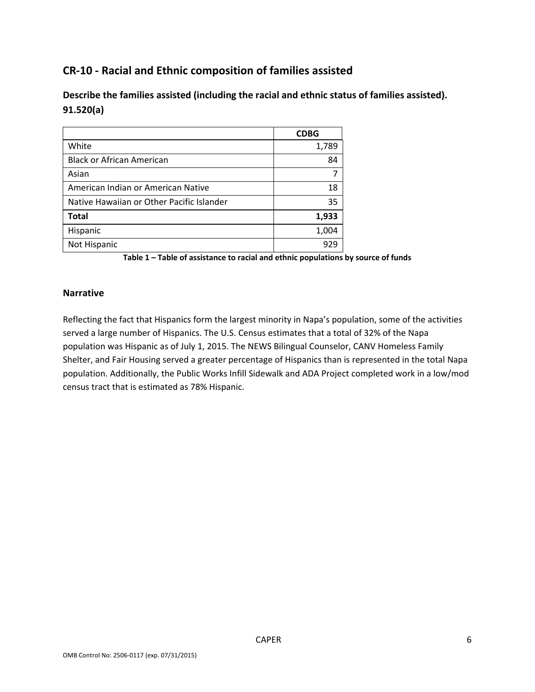# **CR‐10 ‐ Racial and Ethnic composition of families assisted**

**Describe the families assisted (including the racial and ethnic status of families assisted). 91.520(a)** 

|                                           | <b>CDBG</b> |
|-------------------------------------------|-------------|
| White                                     | 1,789       |
| <b>Black or African American</b>          | 84          |
| Asian                                     |             |
| American Indian or American Native        | 18          |
| Native Hawaiian or Other Pacific Islander | 35          |
| <b>Total</b>                              | 1,933       |
| Hispanic                                  | 1,004       |
| Not Hispanic                              | 929         |

**Table 1 – Table of assistance to racial and ethnic populations by source of funds**

#### **Narrative**

Reflecting the fact that Hispanics form the largest minority in Napa's population, some of the activities served a large number of Hispanics. The U.S. Census estimates that a total of 32% of the Napa population was Hispanic as of July 1, 2015. The NEWS Bilingual Counselor, CANV Homeless Family Shelter, and Fair Housing served a greater percentage of Hispanics than is represented in the total Napa population. Additionally, the Public Works Infill Sidewalk and ADA Project completed work in a low/mod census tract that is estimated as 78% Hispanic.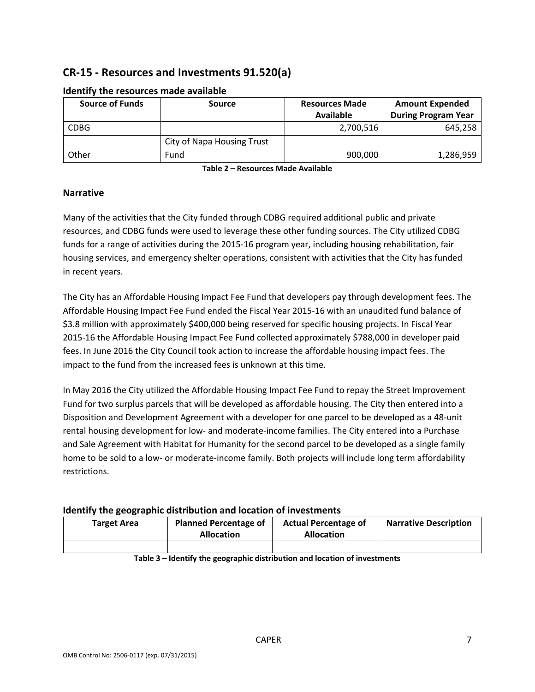# **CR‐15 ‐ Resources and Investments 91.520(a)**

| <b>Source of Funds</b> | Source                            | <b>Resources Made</b> | <b>Amount Expended</b>     |
|------------------------|-----------------------------------|-----------------------|----------------------------|
|                        |                                   | <b>Available</b>      | <b>During Program Year</b> |
| <b>CDBG</b>            |                                   | 2,700,516             | 645,258                    |
|                        | <b>City of Napa Housing Trust</b> |                       |                            |
| Other                  | Fund                              | 900,000               | 1,286,959                  |

#### **Identify the resources made available**

**Table 2 – Resources Made Available**

#### **Narrative**

Many of the activities that the City funded through CDBG required additional public and private resources, and CDBG funds were used to leverage these other funding sources. The City utilized CDBG funds for a range of activities during the 2015‐16 program year, including housing rehabilitation, fair housing services, and emergency shelter operations, consistent with activities that the City has funded in recent years.

The City has an Affordable Housing Impact Fee Fund that developers pay through development fees. The Affordable Housing Impact Fee Fund ended the Fiscal Year 2015‐16 with an unaudited fund balance of \$3.8 million with approximately \$400,000 being reserved for specific housing projects. In Fiscal Year 2015‐16 the Affordable Housing Impact Fee Fund collected approximately \$788,000 in developer paid fees. In June 2016 the City Council took action to increase the affordable housing impact fees. The impact to the fund from the increased fees is unknown at this time.

In May 2016 the City utilized the Affordable Housing Impact Fee Fund to repay the Street Improvement Fund for two surplus parcels that will be developed as affordable housing. The City then entered into a Disposition and Development Agreement with a developer for one parcel to be developed as a 48‐unit rental housing development for low‐ and moderate‐income families. The City entered into a Purchase and Sale Agreement with Habitat for Humanity for the second parcel to be developed as a single family home to be sold to a low- or moderate-income family. Both projects will include long term affordability restrictions.

#### **Identify the geographic distribution and location of investments**

| <b>Target Area</b> | <b>Planned Percentage of</b><br><b>Allocation</b> | <b>Actual Percentage of</b><br><b>Allocation</b> | <b>Narrative Description</b> |
|--------------------|---------------------------------------------------|--------------------------------------------------|------------------------------|
|                    |                                                   |                                                  |                              |

**Table 3 – Identify the geographic distribution and location of investments**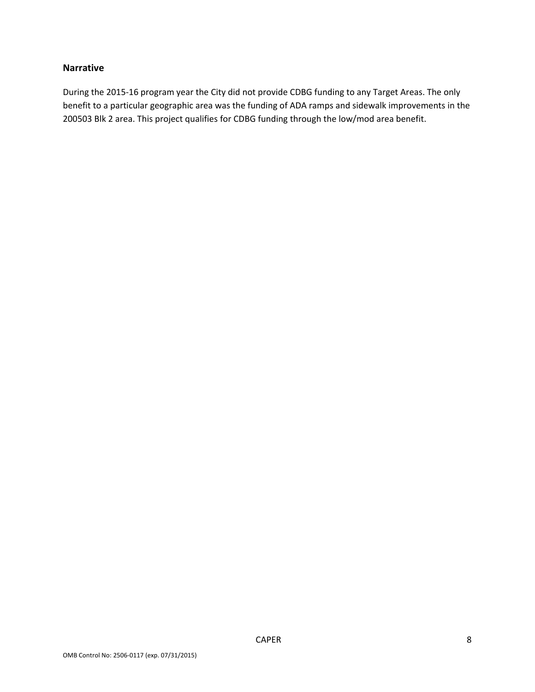#### **Narrative**

During the 2015‐16 program year the City did not provide CDBG funding to any Target Areas. The only benefit to a particular geographic area was the funding of ADA ramps and sidewalk improvements in the 200503 Blk 2 area. This project qualifies for CDBG funding through the low/mod area benefit.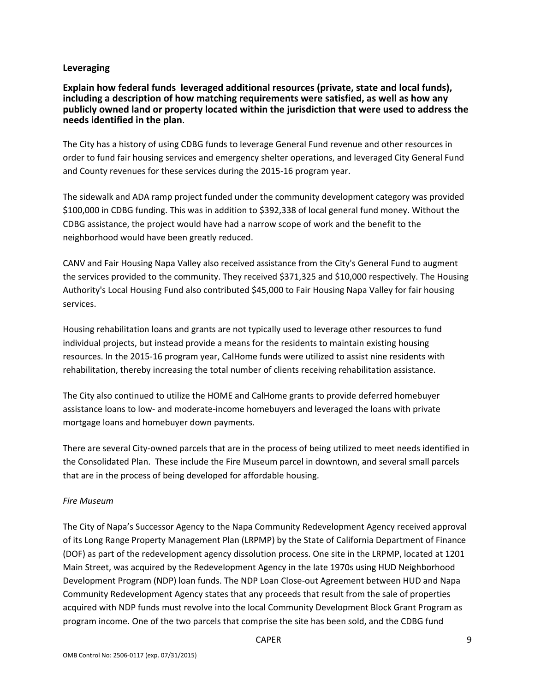#### **Leveraging**

**Explain how federal funds leveraged additional resources (private, state and local funds), including a description of how matching requirements were satisfied, as well as how any publicly owned land or property located within the jurisdiction that were used to address the needs identified in the plan**.

The City has a history of using CDBG funds to leverage General Fund revenue and other resources in order to fund fair housing services and emergency shelter operations, and leveraged City General Fund and County revenues for these services during the 2015‐16 program year.

The sidewalk and ADA ramp project funded under the community development category was provided \$100,000 in CDBG funding. This was in addition to \$392,338 of local general fund money. Without the CDBG assistance, the project would have had a narrow scope of work and the benefit to the neighborhood would have been greatly reduced.

CANV and Fair Housing Napa Valley also received assistance from the City's General Fund to augment the services provided to the community. They received \$371,325 and \$10,000 respectively. The Housing Authority's Local Housing Fund also contributed \$45,000 to Fair Housing Napa Valley for fair housing services.

Housing rehabilitation loans and grants are not typically used to leverage other resources to fund individual projects, but instead provide a means for the residents to maintain existing housing resources. In the 2015‐16 program year, CalHome funds were utilized to assist nine residents with rehabilitation, thereby increasing the total number of clients receiving rehabilitation assistance.

The City also continued to utilize the HOME and CalHome grants to provide deferred homebuyer assistance loans to low‐ and moderate‐income homebuyers and leveraged the loans with private mortgage loans and homebuyer down payments.

There are several City‐owned parcels that are in the process of being utilized to meet needs identified in the Consolidated Plan. These include the Fire Museum parcel in downtown, and several small parcels that are in the process of being developed for affordable housing.

#### *Fire Museum*

The City of Napa's Successor Agency to the Napa Community Redevelopment Agency received approval of its Long Range Property Management Plan (LRPMP) by the State of California Department of Finance (DOF) as part of the redevelopment agency dissolution process. One site in the LRPMP, located at 1201 Main Street, was acquired by the Redevelopment Agency in the late 1970s using HUD Neighborhood Development Program (NDP) loan funds. The NDP Loan Close‐out Agreement between HUD and Napa Community Redevelopment Agency states that any proceeds that result from the sale of properties acquired with NDP funds must revolve into the local Community Development Block Grant Program as program income. One of the two parcels that comprise the site has been sold, and the CDBG fund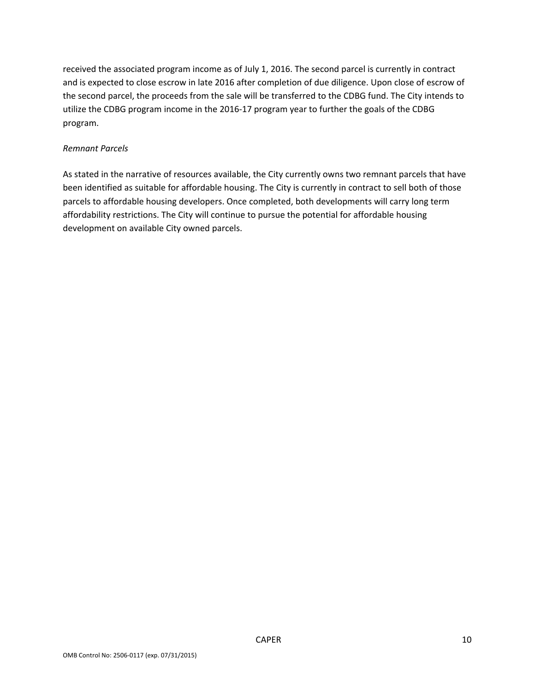received the associated program income as of July 1, 2016. The second parcel is currently in contract and is expected to close escrow in late 2016 after completion of due diligence. Upon close of escrow of the second parcel, the proceeds from the sale will be transferred to the CDBG fund. The City intends to utilize the CDBG program income in the 2016‐17 program year to further the goals of the CDBG program.

#### *Remnant Parcels*

As stated in the narrative of resources available, the City currently owns two remnant parcels that have been identified as suitable for affordable housing. The City is currently in contract to sell both of those parcels to affordable housing developers. Once completed, both developments will carry long term affordability restrictions. The City will continue to pursue the potential for affordable housing development on available City owned parcels.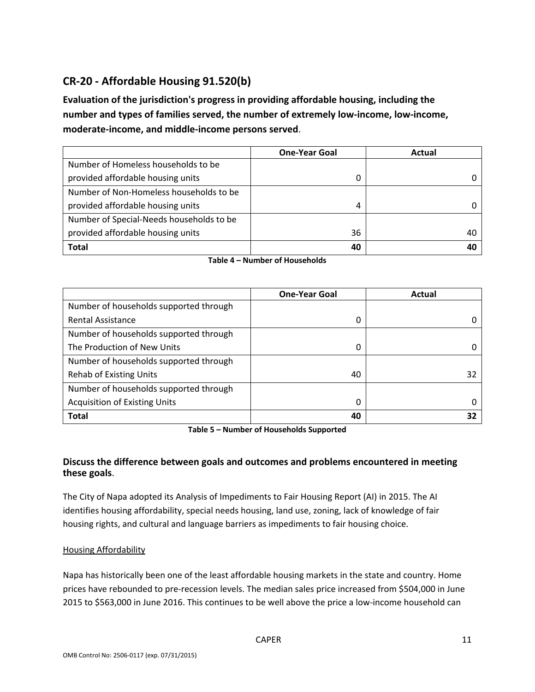# **CR‐20 ‐ Affordable Housing 91.520(b)**

**Evaluation of the jurisdiction's progress in providing affordable housing, including the number and types of families served, the number of extremely low‐income, low‐income, moderate‐income, and middle‐income persons served**.

|                                          | <b>One-Year Goal</b> | Actual |
|------------------------------------------|----------------------|--------|
| Number of Homeless households to be      |                      |        |
| provided affordable housing units        | 0                    |        |
| Number of Non-Homeless households to be  |                      |        |
| provided affordable housing units        | 4                    |        |
| Number of Special-Needs households to be |                      |        |
| provided affordable housing units        | 36                   | 40     |
| <b>Total</b>                             | 40                   |        |

|                                        | <b>One-Year Goal</b> | Actual |
|----------------------------------------|----------------------|--------|
| Number of households supported through |                      |        |
| <b>Rental Assistance</b>               | 0                    |        |
| Number of households supported through |                      |        |
| The Production of New Units            | 0                    |        |
| Number of households supported through |                      |        |
| <b>Rehab of Existing Units</b>         | 40                   | 32     |
| Number of households supported through |                      |        |
| <b>Acquisition of Existing Units</b>   | 0                    |        |
| <b>Total</b>                           | 40                   | 32     |

**Table 5 – Number of Households Supported**

#### **Discuss the difference between goals and outcomes and problems encountered in meeting these goals**.

The City of Napa adopted its Analysis of Impediments to Fair Housing Report (AI) in 2015. The AI identifies housing affordability, special needs housing, land use, zoning, lack of knowledge of fair housing rights, and cultural and language barriers as impediments to fair housing choice.

#### Housing Affordability

Napa has historically been one of the least affordable housing markets in the state and country. Home prices have rebounded to pre‐recession levels. The median sales price increased from \$504,000 in June 2015 to \$563,000 in June 2016. This continues to be well above the price a low‐income household can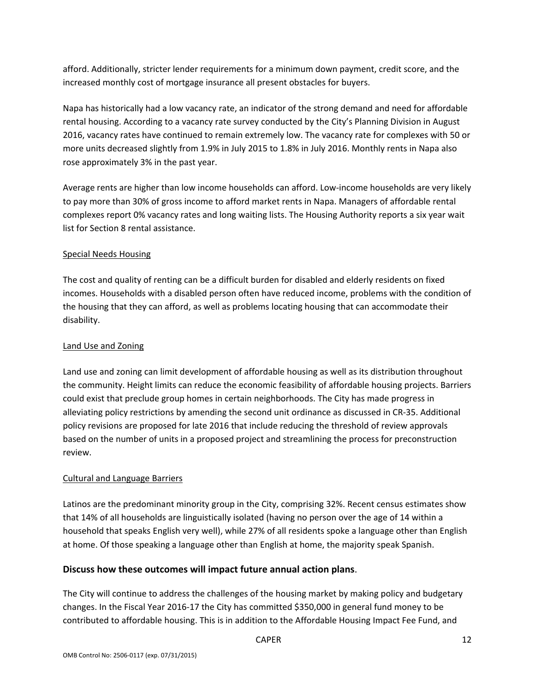afford. Additionally, stricter lender requirements for a minimum down payment, credit score, and the increased monthly cost of mortgage insurance all present obstacles for buyers.

Napa has historically had a low vacancy rate, an indicator of the strong demand and need for affordable rental housing. According to a vacancy rate survey conducted by the City's Planning Division in August 2016, vacancy rates have continued to remain extremely low. The vacancy rate for complexes with 50 or more units decreased slightly from 1.9% in July 2015 to 1.8% in July 2016. Monthly rents in Napa also rose approximately 3% in the past year.

Average rents are higher than low income households can afford. Low-income households are very likely to pay more than 30% of gross income to afford market rents in Napa. Managers of affordable rental complexes report 0% vacancy rates and long waiting lists. The Housing Authority reports a six year wait list for Section 8 rental assistance.

#### Special Needs Housing

The cost and quality of renting can be a difficult burden for disabled and elderly residents on fixed incomes. Households with a disabled person often have reduced income, problems with the condition of the housing that they can afford, as well as problems locating housing that can accommodate their disability.

#### Land Use and Zoning

Land use and zoning can limit development of affordable housing as well as its distribution throughout the community. Height limits can reduce the economic feasibility of affordable housing projects. Barriers could exist that preclude group homes in certain neighborhoods. The City has made progress in alleviating policy restrictions by amending the second unit ordinance as discussed in CR‐35. Additional policy revisions are proposed for late 2016 that include reducing the threshold of review approvals based on the number of units in a proposed project and streamlining the process for preconstruction review.

#### Cultural and Language Barriers

Latinos are the predominant minority group in the City, comprising 32%. Recent census estimates show that 14% of all households are linguistically isolated (having no person over the age of 14 within a household that speaks English very well), while 27% of all residents spoke a language other than English at home. Of those speaking a language other than English at home, the majority speak Spanish.

#### **Discuss how these outcomes will impact future annual action plans**.

The City will continue to address the challenges of the housing market by making policy and budgetary changes. In the Fiscal Year 2016‐17 the City has committed \$350,000 in general fund money to be contributed to affordable housing. This is in addition to the Affordable Housing Impact Fee Fund, and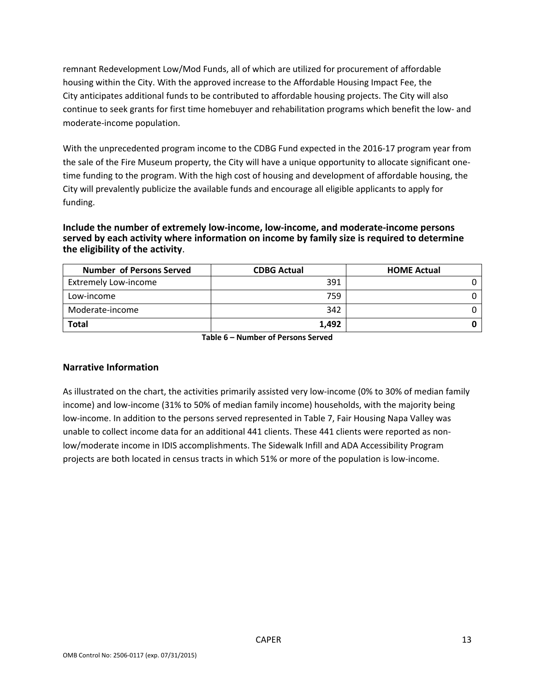remnant Redevelopment Low/Mod Funds, all of which are utilized for procurement of affordable housing within the City. With the approved increase to the Affordable Housing Impact Fee, the City anticipates additional funds to be contributed to affordable housing projects. The City will also continue to seek grants for first time homebuyer and rehabilitation programs which benefit the low‐ and moderate‐income population.

With the unprecedented program income to the CDBG Fund expected in the 2016‐17 program year from the sale of the Fire Museum property, the City will have a unique opportunity to allocate significant one‐ time funding to the program. With the high cost of housing and development of affordable housing, the City will prevalently publicize the available funds and encourage all eligible applicants to apply for funding.

**Include the number of extremely low‐income, low‐income, and moderate‐income persons served by each activity where information on income by family size is required to determine the eligibility of the activity**.

| <b>Number of Persons Served</b> | <b>CDBG Actual</b> | <b>HOME Actual</b> |
|---------------------------------|--------------------|--------------------|
| <b>Extremely Low-income</b>     | 391                |                    |
| Low-income                      | 759                |                    |
| Moderate-income                 | 342                |                    |
| <b>Total</b>                    | 1.492              |                    |

**Table 6 – Number of Persons Served**

#### **Narrative Information**

As illustrated on the chart, the activities primarily assisted very low‐income (0% to 30% of median family income) and low‐income (31% to 50% of median family income) households, with the majority being low‐income. In addition to the persons served represented in Table 7, Fair Housing Napa Valley was unable to collect income data for an additional 441 clients. These 441 clients were reported as nonlow/moderate income in IDIS accomplishments. The Sidewalk Infill and ADA Accessibility Program projects are both located in census tracts in which 51% or more of the population is low‐income.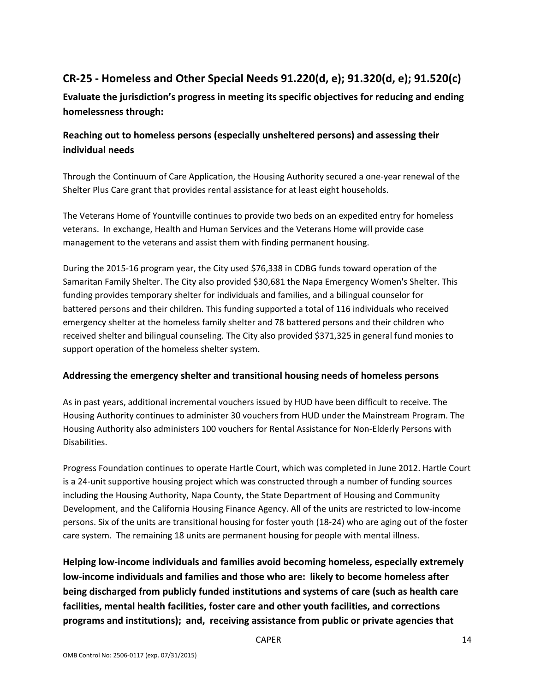# **CR‐25 ‐ Homeless and Other Special Needs 91.220(d, e); 91.320(d, e); 91.520(c)**

**Evaluate the jurisdiction's progress in meeting its specific objectives for reducing and ending homelessness through:**

## **Reaching out to homeless persons (especially unsheltered persons) and assessing their individual needs**

Through the Continuum of Care Application, the Housing Authority secured a one‐year renewal of the Shelter Plus Care grant that provides rental assistance for at least eight households.

The Veterans Home of Yountville continues to provide two beds on an expedited entry for homeless veterans. In exchange, Health and Human Services and the Veterans Home will provide case management to the veterans and assist them with finding permanent housing.

During the 2015‐16 program year, the City used \$76,338 in CDBG funds toward operation of the Samaritan Family Shelter. The City also provided \$30,681 the Napa Emergency Women's Shelter. This funding provides temporary shelter for individuals and families, and a bilingual counselor for battered persons and their children. This funding supported a total of 116 individuals who received emergency shelter at the homeless family shelter and 78 battered persons and their children who received shelter and bilingual counseling. The City also provided \$371,325 in general fund monies to support operation of the homeless shelter system.

#### **Addressing the emergency shelter and transitional housing needs of homeless persons**

As in past years, additional incremental vouchers issued by HUD have been difficult to receive. The Housing Authority continues to administer 30 vouchers from HUD under the Mainstream Program. The Housing Authority also administers 100 vouchers for Rental Assistance for Non‐Elderly Persons with Disabilities.

Progress Foundation continues to operate Hartle Court, which was completed in June 2012. Hartle Court is a 24‐unit supportive housing project which was constructed through a number of funding sources including the Housing Authority, Napa County, the State Department of Housing and Community Development, and the California Housing Finance Agency. All of the units are restricted to low‐income persons. Six of the units are transitional housing for foster youth (18‐24) who are aging out of the foster care system. The remaining 18 units are permanent housing for people with mental illness.

**Helping low‐income individuals and families avoid becoming homeless, especially extremely low‐income individuals and families and those who are: likely to become homeless after being discharged from publicly funded institutions and systems of care (such as health care facilities, mental health facilities, foster care and other youth facilities, and corrections programs and institutions); and, receiving assistance from public or private agencies that**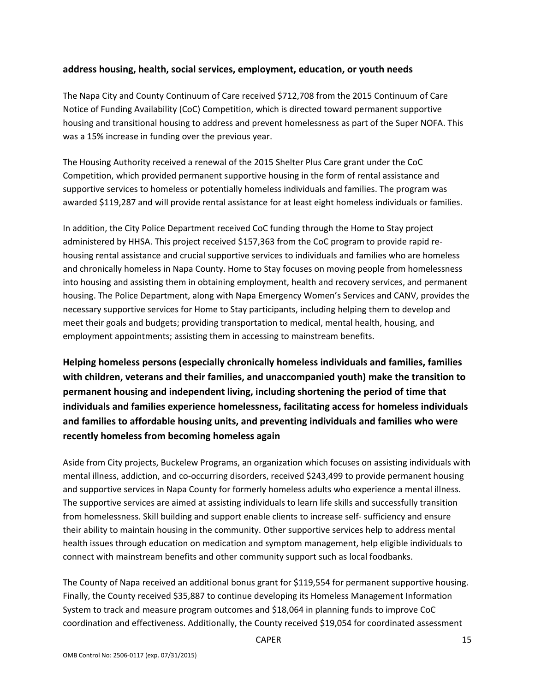#### **address housing, health, social services, employment, education, or youth needs**

The Napa City and County Continuum of Care received \$712,708 from the 2015 Continuum of Care Notice of Funding Availability (CoC) Competition, which is directed toward permanent supportive housing and transitional housing to address and prevent homelessness as part of the Super NOFA. This was a 15% increase in funding over the previous year.

The Housing Authority received a renewal of the 2015 Shelter Plus Care grant under the CoC Competition, which provided permanent supportive housing in the form of rental assistance and supportive services to homeless or potentially homeless individuals and families. The program was awarded \$119,287 and will provide rental assistance for at least eight homeless individuals or families.

In addition, the City Police Department received CoC funding through the Home to Stay project administered by HHSA. This project received \$157,363 from the CoC program to provide rapid re‐ housing rental assistance and crucial supportive services to individuals and families who are homeless and chronically homeless in Napa County. Home to Stay focuses on moving people from homelessness into housing and assisting them in obtaining employment, health and recovery services, and permanent housing. The Police Department, along with Napa Emergency Women's Services and CANV, provides the necessary supportive services for Home to Stay participants, including helping them to develop and meet their goals and budgets; providing transportation to medical, mental health, housing, and employment appointments; assisting them in accessing to mainstream benefits.

**Helping homeless persons (especially chronically homeless individuals and families, families with children, veterans and their families, and unaccompanied youth) make the transition to permanent housing and independent living, including shortening the period of time that individuals and families experience homelessness, facilitating access for homeless individuals and families to affordable housing units, and preventing individuals and families who were recently homeless from becoming homeless again**

Aside from City projects, Buckelew Programs, an organization which focuses on assisting individuals with mental illness, addiction, and co-occurring disorders, received \$243,499 to provide permanent housing and supportive services in Napa County for formerly homeless adults who experience a mental illness. The supportive services are aimed at assisting individuals to learn life skills and successfully transition from homelessness. Skill building and support enable clients to increase self‐ sufficiency and ensure their ability to maintain housing in the community. Other supportive services help to address mental health issues through education on medication and symptom management, help eligible individuals to connect with mainstream benefits and other community support such as local foodbanks.

The County of Napa received an additional bonus grant for \$119,554 for permanent supportive housing. Finally, the County received \$35,887 to continue developing its Homeless Management Information System to track and measure program outcomes and \$18,064 in planning funds to improve CoC coordination and effectiveness. Additionally, the County received \$19,054 for coordinated assessment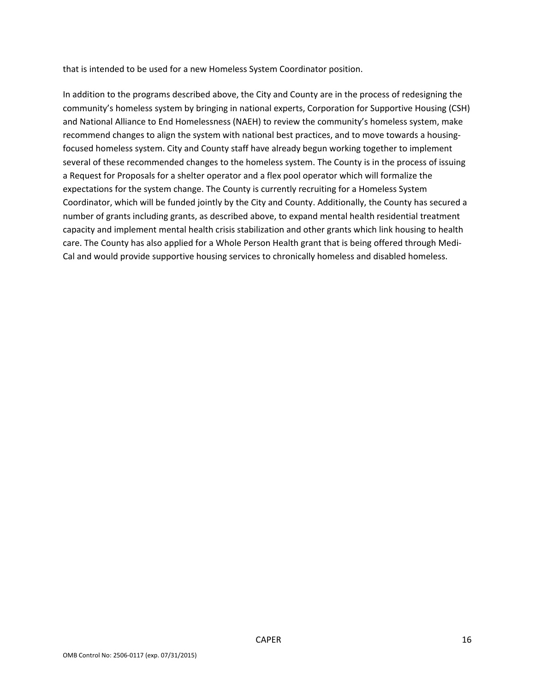that is intended to be used for a new Homeless System Coordinator position.

In addition to the programs described above, the City and County are in the process of redesigning the community's homeless system by bringing in national experts, Corporation for Supportive Housing (CSH) and National Alliance to End Homelessness (NAEH) to review the community's homeless system, make recommend changes to align the system with national best practices, and to move towards a housing‐ focused homeless system. City and County staff have already begun working together to implement several of these recommended changes to the homeless system. The County is in the process of issuing a Request for Proposals for a shelter operator and a flex pool operator which will formalize the expectations for the system change. The County is currently recruiting for a Homeless System Coordinator, which will be funded jointly by the City and County. Additionally, the County has secured a number of grants including grants, as described above, to expand mental health residential treatment capacity and implement mental health crisis stabilization and other grants which link housing to health care. The County has also applied for a Whole Person Health grant that is being offered through Medi‐ Cal and would provide supportive housing services to chronically homeless and disabled homeless.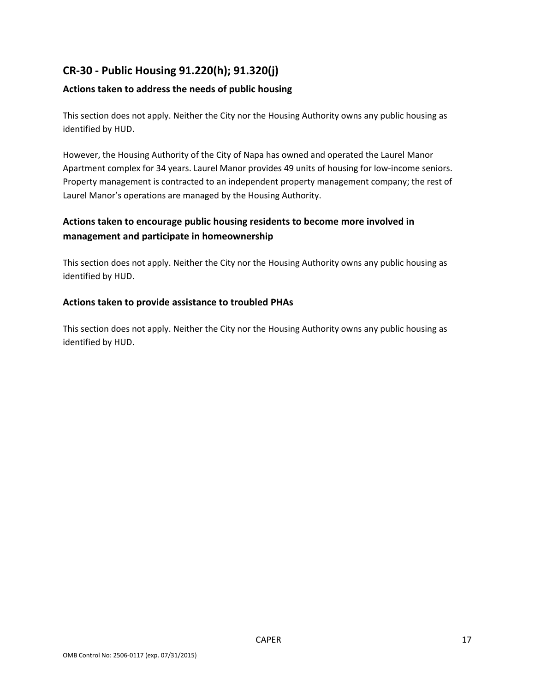# **CR‐30 ‐ Public Housing 91.220(h); 91.320(j)**

#### **Actions taken to address the needs of public housing**

This section does not apply. Neither the City nor the Housing Authority owns any public housing as identified by HUD.

However, the Housing Authority of the City of Napa has owned and operated the Laurel Manor Apartment complex for 34 years. Laurel Manor provides 49 units of housing for low‐income seniors. Property management is contracted to an independent property management company; the rest of Laurel Manor's operations are managed by the Housing Authority.

## **Actions taken to encourage public housing residents to become more involved in management and participate in homeownership**

This section does not apply. Neither the City nor the Housing Authority owns any public housing as identified by HUD.

#### **Actions taken to provide assistance to troubled PHAs**

This section does not apply. Neither the City nor the Housing Authority owns any public housing as identified by HUD.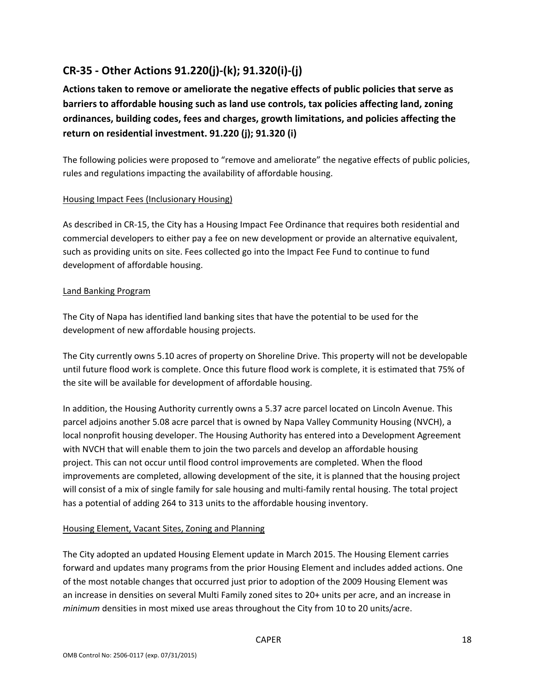# **CR‐35 ‐ Other Actions 91.220(j)‐(k); 91.320(i)‐(j)**

**Actions taken to remove or ameliorate the negative effects of public policies that serve as barriers to affordable housing such as land use controls, tax policies affecting land, zoning ordinances, building codes, fees and charges, growth limitations, and policies affecting the return on residential investment. 91.220 (j); 91.320 (i)**

The following policies were proposed to "remove and ameliorate" the negative effects of public policies, rules and regulations impacting the availability of affordable housing.

#### Housing Impact Fees (Inclusionary Housing)

As described in CR‐15, the City has a Housing Impact Fee Ordinance that requires both residential and commercial developers to either pay a fee on new development or provide an alternative equivalent, such as providing units on site. Fees collected go into the Impact Fee Fund to continue to fund development of affordable housing.

#### Land Banking Program

The City of Napa has identified land banking sites that have the potential to be used for the development of new affordable housing projects.

The City currently owns 5.10 acres of property on Shoreline Drive. This property will not be developable until future flood work is complete. Once this future flood work is complete, it is estimated that 75% of the site will be available for development of affordable housing.

In addition, the Housing Authority currently owns a 5.37 acre parcel located on Lincoln Avenue. This parcel adjoins another 5.08 acre parcel that is owned by Napa Valley Community Housing (NVCH), a local nonprofit housing developer. The Housing Authority has entered into a Development Agreement with NVCH that will enable them to join the two parcels and develop an affordable housing project. This can not occur until flood control improvements are completed. When the flood improvements are completed, allowing development of the site, it is planned that the housing project will consist of a mix of single family for sale housing and multi-family rental housing. The total project has a potential of adding 264 to 313 units to the affordable housing inventory.

#### Housing Element, Vacant Sites, Zoning and Planning

The City adopted an updated Housing Element update in March 2015. The Housing Element carries forward and updates many programs from the prior Housing Element and includes added actions. One of the most notable changes that occurred just prior to adoption of the 2009 Housing Element was an increase in densities on several Multi Family zoned sites to 20+ units per acre, and an increase in *minimum* densities in most mixed use areas throughout the City from 10 to 20 units/acre.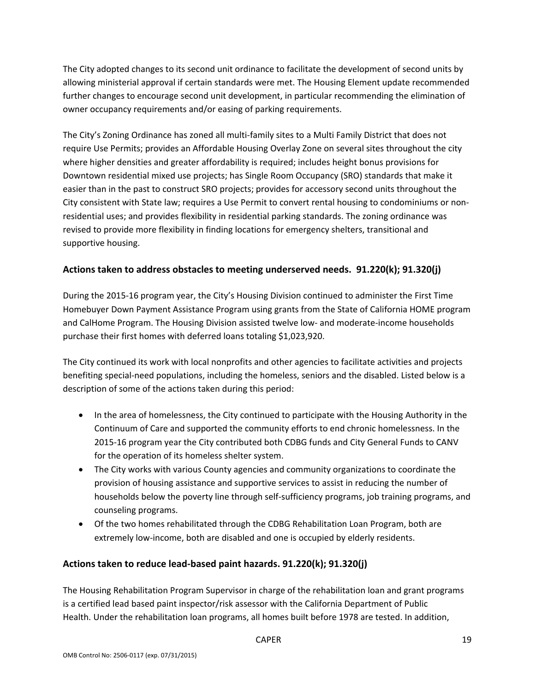The City adopted changes to its second unit ordinance to facilitate the development of second units by allowing ministerial approval if certain standards were met. The Housing Element update recommended further changes to encourage second unit development, in particular recommending the elimination of owner occupancy requirements and/or easing of parking requirements.

The City's Zoning Ordinance has zoned all multi‐family sites to a Multi Family District that does not require Use Permits; provides an Affordable Housing Overlay Zone on several sites throughout the city where higher densities and greater affordability is required; includes height bonus provisions for Downtown residential mixed use projects; has Single Room Occupancy (SRO) standards that make it easier than in the past to construct SRO projects; provides for accessory second units throughout the City consistent with State law; requires a Use Permit to convert rental housing to condominiums or non‐ residential uses; and provides flexibility in residential parking standards. The zoning ordinance was revised to provide more flexibility in finding locations for emergency shelters, transitional and supportive housing.

#### **Actions taken to address obstacles to meeting underserved needs. 91.220(k); 91.320(j)**

During the 2015‐16 program year, the City's Housing Division continued to administer the First Time Homebuyer Down Payment Assistance Program using grants from the State of California HOME program and CalHome Program. The Housing Division assisted twelve low‐ and moderate‐income households purchase their first homes with deferred loans totaling \$1,023,920.

The City continued its work with local nonprofits and other agencies to facilitate activities and projects benefiting special‐need populations, including the homeless, seniors and the disabled. Listed below is a description of some of the actions taken during this period:

- In the area of homelessness, the City continued to participate with the Housing Authority in the Continuum of Care and supported the community efforts to end chronic homelessness. In the 2015‐16 program year the City contributed both CDBG funds and City General Funds to CANV for the operation of its homeless shelter system.
- The City works with various County agencies and community organizations to coordinate the provision of housing assistance and supportive services to assist in reducing the number of households below the poverty line through self‐sufficiency programs, job training programs, and counseling programs.
- Of the two homes rehabilitated through the CDBG Rehabilitation Loan Program, both are extremely low-income, both are disabled and one is occupied by elderly residents.

#### **Actions taken to reduce lead‐based paint hazards. 91.220(k); 91.320(j)**

The Housing Rehabilitation Program Supervisor in charge of the rehabilitation loan and grant programs is a certified lead based paint inspector/risk assessor with the California Department of Public Health. Under the rehabilitation loan programs, all homes built before 1978 are tested. In addition,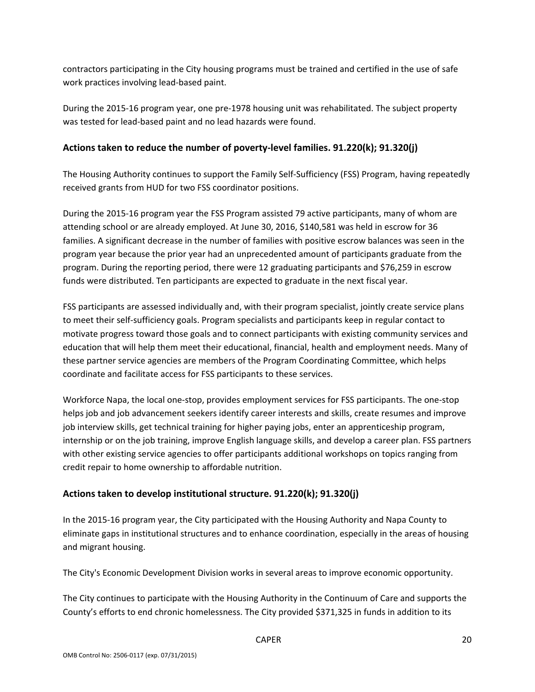contractors participating in the City housing programs must be trained and certified in the use of safe work practices involving lead‐based paint.

During the 2015‐16 program year, one pre‐1978 housing unit was rehabilitated. The subject property was tested for lead‐based paint and no lead hazards were found.

#### **Actions taken to reduce the number of poverty‐level families. 91.220(k); 91.320(j)**

The Housing Authority continues to support the Family Self‐Sufficiency (FSS) Program, having repeatedly received grants from HUD for two FSS coordinator positions.

During the 2015‐16 program year the FSS Program assisted 79 active participants, many of whom are attending school or are already employed. At June 30, 2016, \$140,581 was held in escrow for 36 families. A significant decrease in the number of families with positive escrow balances was seen in the program year because the prior year had an unprecedented amount of participants graduate from the program. During the reporting period, there were 12 graduating participants and \$76,259 in escrow funds were distributed. Ten participants are expected to graduate in the next fiscal year.

FSS participants are assessed individually and, with their program specialist, jointly create service plans to meet their self‐sufficiency goals. Program specialists and participants keep in regular contact to motivate progress toward those goals and to connect participants with existing community services and education that will help them meet their educational, financial, health and employment needs. Many of these partner service agencies are members of the Program Coordinating Committee, which helps coordinate and facilitate access for FSS participants to these services.

Workforce Napa, the local one‐stop, provides employment services for FSS participants. The one‐stop helps job and job advancement seekers identify career interests and skills, create resumes and improve job interview skills, get technical training for higher paying jobs, enter an apprenticeship program, internship or on the job training, improve English language skills, and develop a career plan. FSS partners with other existing service agencies to offer participants additional workshops on topics ranging from credit repair to home ownership to affordable nutrition.

## **Actions taken to develop institutional structure. 91.220(k); 91.320(j)**

In the 2015‐16 program year, the City participated with the Housing Authority and Napa County to eliminate gaps in institutional structures and to enhance coordination, especially in the areas of housing and migrant housing.

The City's Economic Development Division works in several areas to improve economic opportunity.

The City continues to participate with the Housing Authority in the Continuum of Care and supports the County's efforts to end chronic homelessness. The City provided \$371,325 in funds in addition to its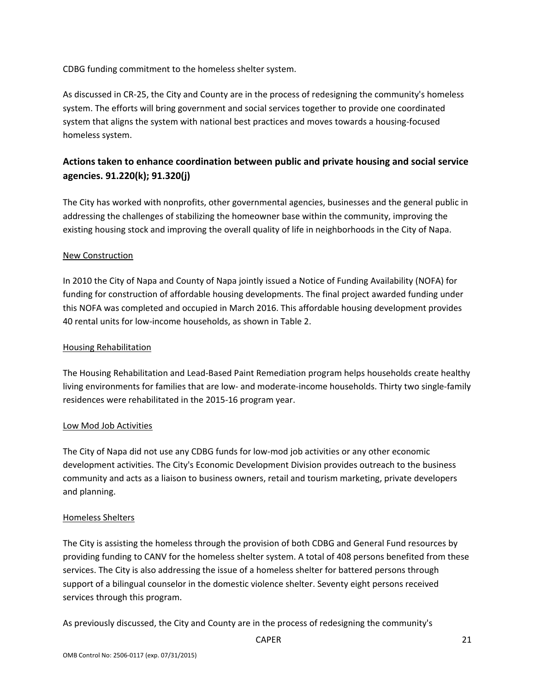CDBG funding commitment to the homeless shelter system.

As discussed in CR‐25, the City and County are in the process of redesigning the community's homeless system. The efforts will bring government and social services together to provide one coordinated system that aligns the system with national best practices and moves towards a housing-focused homeless system.

## **Actions taken to enhance coordination between public and private housing and social service agencies. 91.220(k); 91.320(j)**

The City has worked with nonprofits, other governmental agencies, businesses and the general public in addressing the challenges of stabilizing the homeowner base within the community, improving the existing housing stock and improving the overall quality of life in neighborhoods in the City of Napa.

#### New Construction

In 2010 the City of Napa and County of Napa jointly issued a Notice of Funding Availability (NOFA) for funding for construction of affordable housing developments. The final project awarded funding under this NOFA was completed and occupied in March 2016. This affordable housing development provides 40 rental units for low-income households, as shown in Table 2.

#### Housing Rehabilitation

The Housing Rehabilitation and Lead‐Based Paint Remediation program helps households create healthy living environments for families that are low- and moderate-income households. Thirty two single-family residences were rehabilitated in the 2015‐16 program year.

#### Low Mod Job Activities

The City of Napa did not use any CDBG funds for low-mod job activities or any other economic development activities. The City's Economic Development Division provides outreach to the business community and acts as a liaison to business owners, retail and tourism marketing, private developers and planning.

#### Homeless Shelters

The City is assisting the homeless through the provision of both CDBG and General Fund resources by providing funding to CANV for the homeless shelter system. A total of 408 persons benefited from these services. The City is also addressing the issue of a homeless shelter for battered persons through support of a bilingual counselor in the domestic violence shelter. Seventy eight persons received services through this program.

As previously discussed, the City and County are in the process of redesigning the community's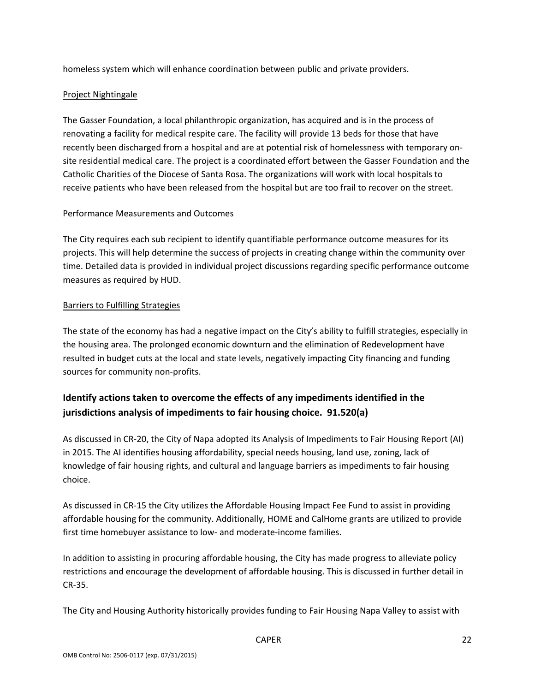homeless system which will enhance coordination between public and private providers.

#### Project Nightingale

The Gasser Foundation, a local philanthropic organization, has acquired and is in the process of renovating a facility for medical respite care. The facility will provide 13 beds for those that have recently been discharged from a hospital and are at potential risk of homelessness with temporary on‐ site residential medical care. The project is a coordinated effort between the Gasser Foundation and the Catholic Charities of the Diocese of Santa Rosa. The organizations will work with local hospitals to receive patients who have been released from the hospital but are too frail to recover on the street.

#### Performance Measurements and Outcomes

The City requires each sub recipient to identify quantifiable performance outcome measures for its projects. This will help determine the success of projects in creating change within the community over time. Detailed data is provided in individual project discussions regarding specific performance outcome measures as required by HUD.

#### Barriers to Fulfilling Strategies

The state of the economy has had a negative impact on the City's ability to fulfill strategies, especially in the housing area. The prolonged economic downturn and the elimination of Redevelopment have resulted in budget cuts at the local and state levels, negatively impacting City financing and funding sources for community non‐profits.

## **Identify actions taken to overcome the effects of any impediments identified in the jurisdictions analysis of impediments to fair housing choice. 91.520(a)**

As discussed in CR‐20, the City of Napa adopted its Analysis of Impediments to Fair Housing Report (AI) in 2015. The AI identifies housing affordability, special needs housing, land use, zoning, lack of knowledge of fair housing rights, and cultural and language barriers as impediments to fair housing choice.

As discussed in CR‐15 the City utilizes the Affordable Housing Impact Fee Fund to assist in providing affordable housing for the community. Additionally, HOME and CalHome grants are utilized to provide first time homebuyer assistance to low- and moderate-income families.

In addition to assisting in procuring affordable housing, the City has made progress to alleviate policy restrictions and encourage the development of affordable housing. This is discussed in further detail in CR‐35.

The City and Housing Authority historically provides funding to Fair Housing Napa Valley to assist with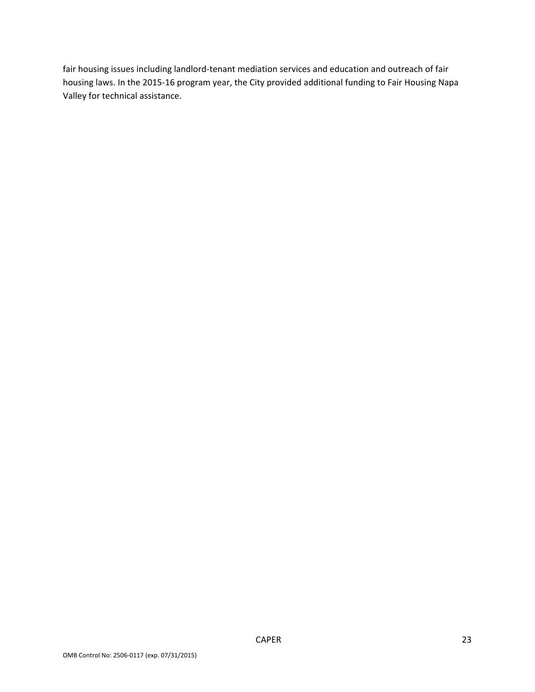fair housing issues including landlord‐tenant mediation services and education and outreach of fair housing laws. In the 2015‐16 program year, the City provided additional funding to Fair Housing Napa Valley for technical assistance.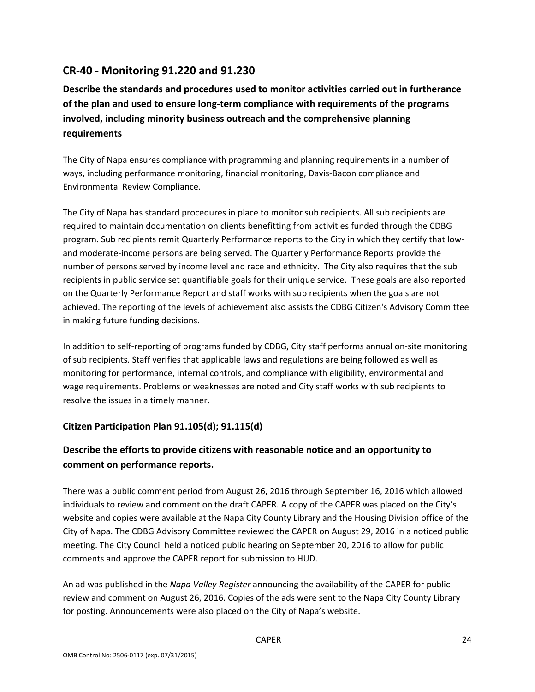## **CR‐40 ‐ Monitoring 91.220 and 91.230**

**Describe the standards and procedures used to monitor activities carried out in furtherance of the plan and used to ensure long‐term compliance with requirements of the programs involved, including minority business outreach and the comprehensive planning requirements**

The City of Napa ensures compliance with programming and planning requirements in a number of ways, including performance monitoring, financial monitoring, Davis‐Bacon compliance and Environmental Review Compliance.

The City of Napa has standard procedures in place to monitor sub recipients. All sub recipients are required to maintain documentation on clients benefitting from activities funded through the CDBG program. Sub recipients remit Quarterly Performance reports to the City in which they certify that low‐ and moderate‐income persons are being served. The Quarterly Performance Reports provide the number of persons served by income level and race and ethnicity. The City also requires that the sub recipients in public service set quantifiable goals for their unique service. These goals are also reported on the Quarterly Performance Report and staff works with sub recipients when the goals are not achieved. The reporting of the levels of achievement also assists the CDBG Citizen's Advisory Committee in making future funding decisions.

In addition to self‐reporting of programs funded by CDBG, City staff performs annual on‐site monitoring of sub recipients. Staff verifies that applicable laws and regulations are being followed as well as monitoring for performance, internal controls, and compliance with eligibility, environmental and wage requirements. Problems or weaknesses are noted and City staff works with sub recipients to resolve the issues in a timely manner.

#### **Citizen Participation Plan 91.105(d); 91.115(d)**

## **Describe the efforts to provide citizens with reasonable notice and an opportunity to comment on performance reports.**

There was a public comment period from August 26, 2016 through September 16, 2016 which allowed individuals to review and comment on the draft CAPER. A copy of the CAPER was placed on the City's website and copies were available at the Napa City County Library and the Housing Division office of the City of Napa. The CDBG Advisory Committee reviewed the CAPER on August 29, 2016 in a noticed public meeting. The City Council held a noticed public hearing on September 20, 2016 to allow for public comments and approve the CAPER report for submission to HUD.

An ad was published in the *Napa Valley Register* announcing the availability of the CAPER for public review and comment on August 26, 2016. Copies of the ads were sent to the Napa City County Library for posting. Announcements were also placed on the City of Napa's website.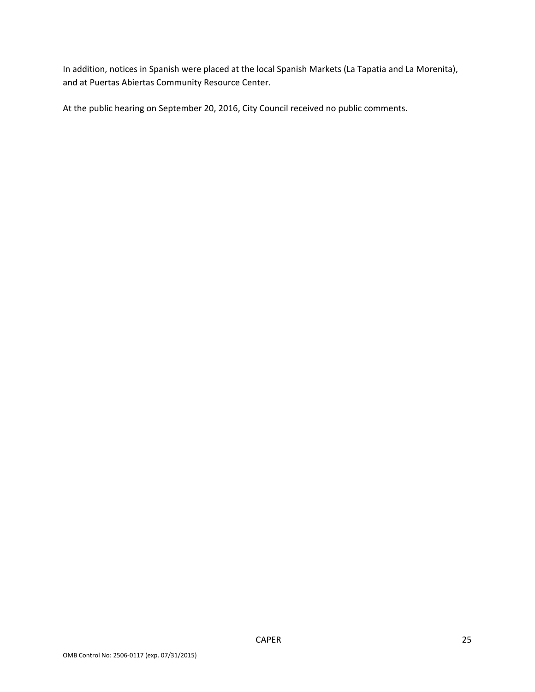In addition, notices in Spanish were placed at the local Spanish Markets (La Tapatia and La Morenita), and at Puertas Abiertas Community Resource Center.

At the public hearing on September 20, 2016, City Council received no public comments.